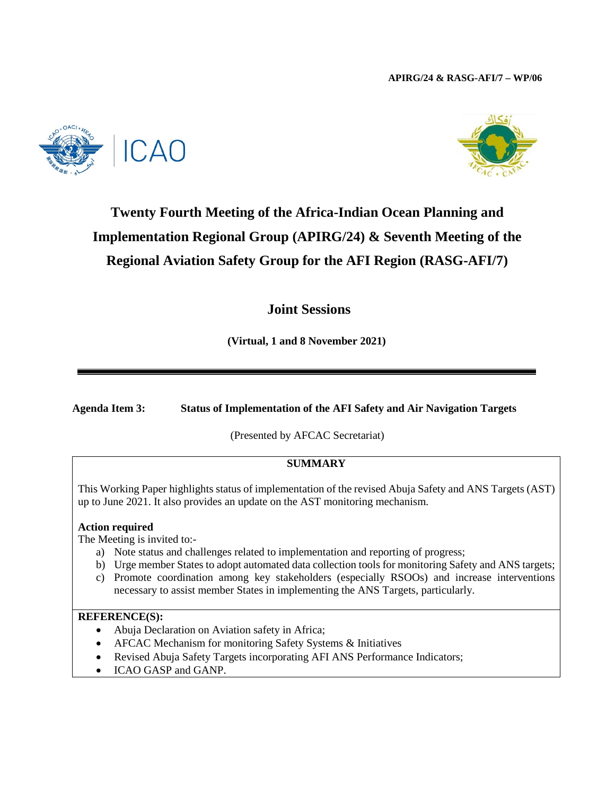



# **Twenty Fourth Meeting of the Africa-Indian Ocean Planning and Implementation Regional Group (APIRG/24) & Seventh Meeting of the Regional Aviation Safety Group for the AFI Region (RASG-AFI/7)**

**Joint Sessions**

**(Virtual, 1 and 8 November 2021)**

**Agenda Item 3: Status of Implementation of the AFI Safety and Air Navigation Targets**

(Presented by AFCAC Secretariat)

# **SUMMARY**

This Working Paper highlights status of implementation of the revised Abuja Safety and ANS Targets (AST) up to June 2021. It also provides an update on the AST monitoring mechanism.

### **Action required**

The Meeting is invited to:-

- a) Note status and challenges related to implementation and reporting of progress;
- b) Urge member States to adopt automated data collection tools for monitoring Safety and ANS targets;
- c) Promote coordination among key stakeholders (especially RSOOs) and increase interventions necessary to assist member States in implementing the ANS Targets, particularly.

### **REFERENCE(S):**

- Abuja Declaration on Aviation safety in Africa;
- AFCAC Mechanism for monitoring Safety Systems & Initiatives
- Revised Abuja Safety Targets incorporating AFI ANS Performance Indicators;
- ICAO GASP and GANP.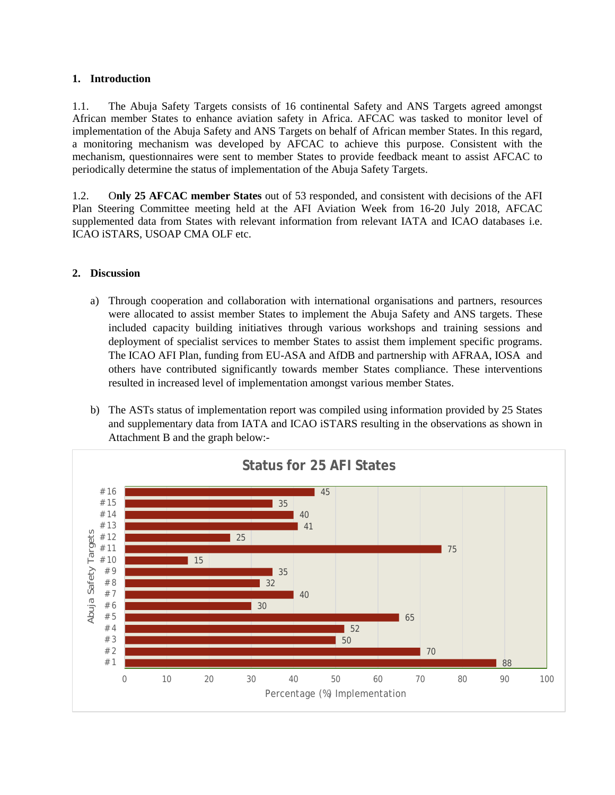### **1. Introduction**

1.1. The Abuja Safety Targets consists of 16 continental Safety and ANS Targets agreed amongst African member States to enhance aviation safety in Africa. AFCAC was tasked to monitor level of implementation of the Abuja Safety and ANS Targets on behalf of African member States. In this regard, a monitoring mechanism was developed by AFCAC to achieve this purpose. Consistent with the mechanism, questionnaires were sent to member States to provide feedback meant to assist AFCAC to periodically determine the status of implementation of the Abuja Safety Targets.

1.2. O**nly 25 AFCAC member States** out of 53 responded, and consistent with decisions of the AFI Plan Steering Committee meeting held at the AFI Aviation Week from 16-20 July 2018, AFCAC supplemented data from States with relevant information from relevant IATA and ICAO databases i.e. ICAO iSTARS, USOAP CMA OLF etc.

# **2. Discussion**

- a) Through cooperation and collaboration with international organisations and partners, resources were allocated to assist member States to implement the Abuja Safety and ANS targets. These included capacity building initiatives through various workshops and training sessions and deployment of specialist services to member States to assist them implement specific programs. The ICAO AFI Plan, funding from EU-ASA and AfDB and partnership with AFRAA, IOSA and others have contributed significantly towards member States compliance. These interventions resulted in increased level of implementation amongst various member States.
- b) The ASTs status of implementation report was compiled using information provided by 25 States and supplementary data from IATA and ICAO iSTARS resulting in the observations as shown in Attachment B and the graph below:-

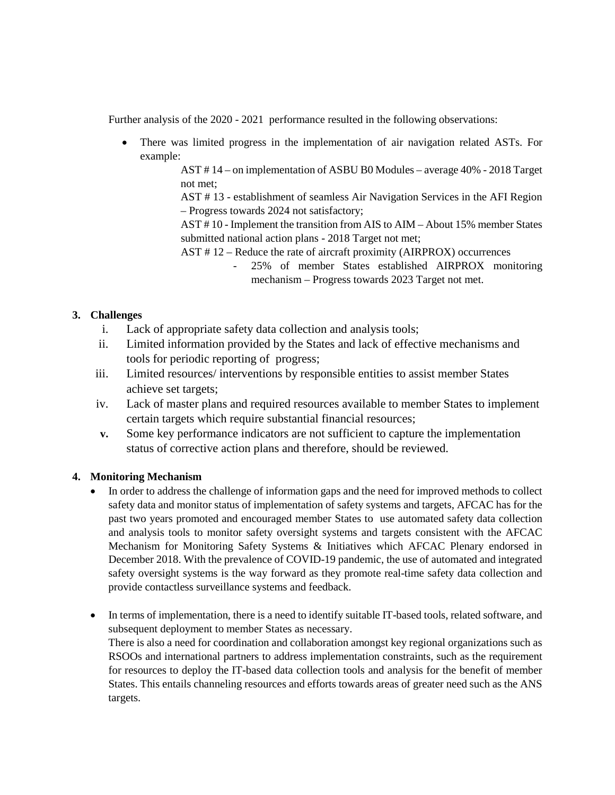Further analysis of the 2020 - 2021 performance resulted in the following observations:

• There was limited progress in the implementation of air navigation related ASTs. For example:

> AST # 14 – on implementation of ASBU B0 Modules – average 40% - 2018 Target not met;

> AST # 13 - establishment of seamless Air Navigation Services in the AFI Region – Progress towards 2024 not satisfactory;

> AST # 10 - Implement the transition from AIS to AIM – About 15% member States submitted national action plans - 2018 Target not met;

AST # 12 – Reduce the rate of aircraft proximity (AIRPROX) occurrences

- 25% of member States established AIRPROX monitoring mechanism – Progress towards 2023 Target not met.

# **3. Challenges**

- i. Lack of appropriate safety data collection and analysis tools;
- ii. Limited information provided by the States and lack of effective mechanisms and tools for periodic reporting of progress;
- iii. Limited resources/ interventions by responsible entities to assist member States achieve set targets;
- iv. Lack of master plans and required resources available to member States to implement certain targets which require substantial financial resources;
- **v.** Some key performance indicators are not sufficient to capture the implementation status of corrective action plans and therefore, should be reviewed.

# **4. Monitoring Mechanism**

- In order to address the challenge of information gaps and the need for improved methods to collect safety data and monitor status of implementation of safety systems and targets, AFCAC has for the past two years promoted and encouraged member States to use automated safety data collection and analysis tools to monitor safety oversight systems and targets consistent with the AFCAC Mechanism for Monitoring Safety Systems & Initiatives which AFCAC Plenary endorsed in December 2018. With the prevalence of COVID-19 pandemic, the use of automated and integrated safety oversight systems is the way forward as they promote real-time safety data collection and provide contactless surveillance systems and feedback.
- In terms of implementation, there is a need to identify suitable IT-based tools, related software, and subsequent deployment to member States as necessary. There is also a need for coordination and collaboration amongst key regional organizations such as RSOOs and international partners to address implementation constraints, such as the requirement for resources to deploy the IT-based data collection tools and analysis for the benefit of member States. This entails channeling resources and efforts towards areas of greater need such as the ANS targets.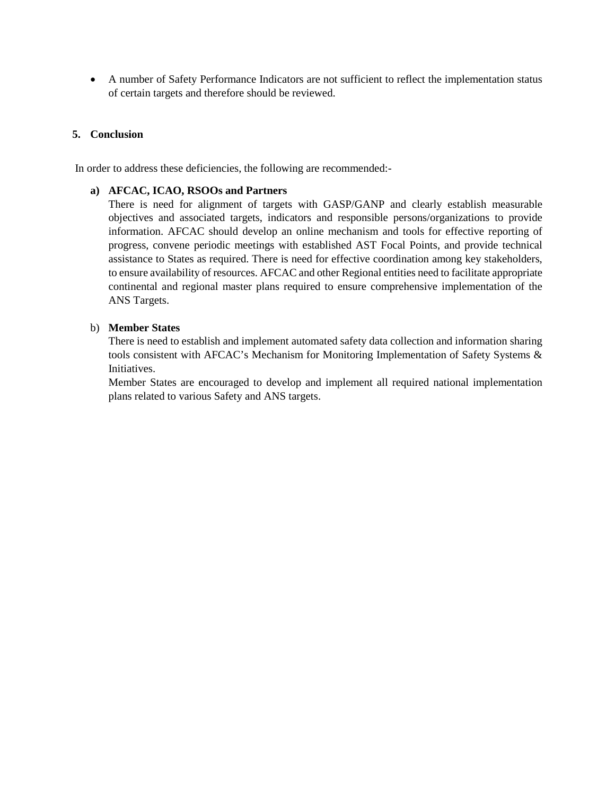• A number of Safety Performance Indicators are not sufficient to reflect the implementation status of certain targets and therefore should be reviewed.

## **5. Conclusion**

In order to address these deficiencies, the following are recommended:-

### **a) AFCAC, ICAO, RSOOs and Partners**

There is need for alignment of targets with GASP/GANP and clearly establish measurable objectives and associated targets, indicators and responsible persons/organizations to provide information. AFCAC should develop an online mechanism and tools for effective reporting of progress, convene periodic meetings with established AST Focal Points, and provide technical assistance to States as required. There is need for effective coordination among key stakeholders, to ensure availability of resources. AFCAC and other Regional entities need to facilitate appropriate continental and regional master plans required to ensure comprehensive implementation of the ANS Targets.

#### b) **Member States**

There is need to establish and implement automated safety data collection and information sharing tools consistent with AFCAC's Mechanism for Monitoring Implementation of Safety Systems & Initiatives.

Member States are encouraged to develop and implement all required national implementation plans related to various Safety and ANS targets.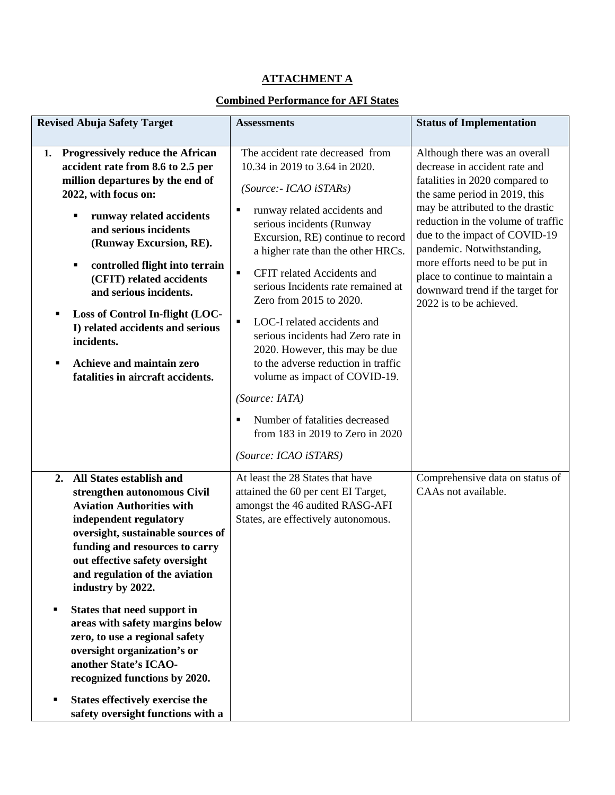# **ATTACHMENT A**

# **Combined Performance for AFI States**

| <b>Revised Abuja Safety Target</b>                                                                                                                                                                                                                                                                                                                                                                                                                                                                                                                                                | <b>Assessments</b>                                                                                                                                                                                                                                                                                                                                                                                                                                                                                                                                                                                                                                                           | <b>Status of Implementation</b>                                                                                                                                                                                                                                                                                                                                                                                |
|-----------------------------------------------------------------------------------------------------------------------------------------------------------------------------------------------------------------------------------------------------------------------------------------------------------------------------------------------------------------------------------------------------------------------------------------------------------------------------------------------------------------------------------------------------------------------------------|------------------------------------------------------------------------------------------------------------------------------------------------------------------------------------------------------------------------------------------------------------------------------------------------------------------------------------------------------------------------------------------------------------------------------------------------------------------------------------------------------------------------------------------------------------------------------------------------------------------------------------------------------------------------------|----------------------------------------------------------------------------------------------------------------------------------------------------------------------------------------------------------------------------------------------------------------------------------------------------------------------------------------------------------------------------------------------------------------|
|                                                                                                                                                                                                                                                                                                                                                                                                                                                                                                                                                                                   |                                                                                                                                                                                                                                                                                                                                                                                                                                                                                                                                                                                                                                                                              |                                                                                                                                                                                                                                                                                                                                                                                                                |
| 1. Progressively reduce the African<br>accident rate from 8.6 to 2.5 per<br>million departures by the end of<br>2022, with focus on:<br>runway related accidents<br>and serious incidents<br>(Runway Excursion, RE).<br>controlled flight into terrain<br>٠<br>(CFIT) related accidents<br>and serious incidents.<br>Loss of Control In-flight (LOC-<br>Е<br>I) related accidents and serious<br>incidents.<br>Achieve and maintain zero<br>П<br>fatalities in aircraft accidents.                                                                                                | The accident rate decreased from<br>10.34 in 2019 to 3.64 in 2020.<br>(Source:- ICAO iSTARs)<br>runway related accidents and<br>٠<br>serious incidents (Runway<br>Excursion, RE) continue to record<br>a higher rate than the other HRCs.<br>CFIT related Accidents and<br>$\blacksquare$<br>serious Incidents rate remained at<br>Zero from 2015 to 2020.<br>LOC-I related accidents and<br>$\blacksquare$<br>serious incidents had Zero rate in<br>2020. However, this may be due<br>to the adverse reduction in traffic<br>volume as impact of COVID-19.<br>(Source: IATA)<br>Number of fatalities decreased<br>from 183 in 2019 to Zero in 2020<br>(Source: ICAO iSTARS) | Although there was an overall<br>decrease in accident rate and<br>fatalities in 2020 compared to<br>the same period in 2019, this<br>may be attributed to the drastic<br>reduction in the volume of traffic<br>due to the impact of COVID-19<br>pandemic. Notwithstanding,<br>more efforts need to be put in<br>place to continue to maintain a<br>downward trend if the target for<br>2022 is to be achieved. |
| All States establish and<br>2.<br>strengthen autonomous Civil<br><b>Aviation Authorities with</b><br>independent regulatory<br>oversight, sustainable sources of<br>funding and resources to carry<br>out effective safety oversight<br>and regulation of the aviation<br>industry by 2022.<br>States that need support in<br>٠<br>areas with safety margins below<br>zero, to use a regional safety<br>oversight organization's or<br>another State's ICAO-<br>recognized functions by 2020.<br><b>States effectively exercise the</b><br>٠<br>safety oversight functions with a | At least the 28 States that have<br>attained the 60 per cent EI Target,<br>amongst the 46 audited RASG-AFI<br>States, are effectively autonomous.                                                                                                                                                                                                                                                                                                                                                                                                                                                                                                                            | Comprehensive data on status of<br>CAAs not available.                                                                                                                                                                                                                                                                                                                                                         |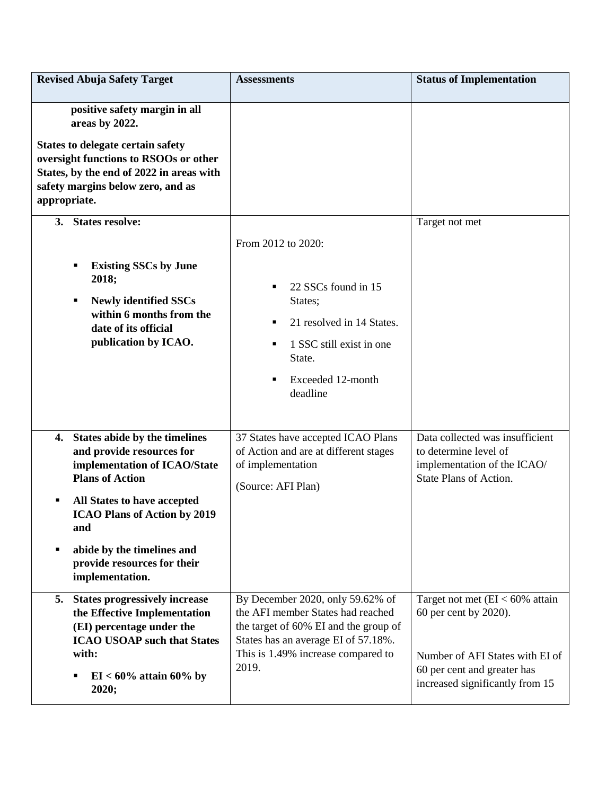| <b>Revised Abuja Safety Target</b>                                                                                                                                                                                                                                                                | <b>Assessments</b>                                                                                                                                                                                   | <b>Status of Implementation</b>                                                                                                                                  |
|---------------------------------------------------------------------------------------------------------------------------------------------------------------------------------------------------------------------------------------------------------------------------------------------------|------------------------------------------------------------------------------------------------------------------------------------------------------------------------------------------------------|------------------------------------------------------------------------------------------------------------------------------------------------------------------|
| positive safety margin in all<br>areas by 2022.<br><b>States to delegate certain safety</b><br>oversight functions to RSOOs or other<br>States, by the end of 2022 in areas with<br>safety margins below zero, and as<br>appropriate.                                                             |                                                                                                                                                                                                      |                                                                                                                                                                  |
| 3. States resolve:<br><b>Existing SSCs by June</b><br>2018;<br><b>Newly identified SSCs</b><br>٠<br>within 6 months from the<br>date of its official<br>publication by ICAO.                                                                                                                      | From 2012 to 2020:<br>22 SSCs found in 15<br>п<br>States;<br>21 resolved in 14 States.<br>п<br>1 SSC still exist in one<br>п<br>State.<br>Exceeded 12-month<br>Е<br>deadline                         | Target not met                                                                                                                                                   |
| States abide by the timelines<br>4.<br>and provide resources for<br>implementation of ICAO/State<br><b>Plans of Action</b><br>All States to have accepted<br>٠<br><b>ICAO Plans of Action by 2019</b><br>and<br>abide by the timelines and<br>٠<br>provide resources for their<br>implementation. | 37 States have accepted ICAO Plans<br>of Action and are at different stages<br>of implementation<br>(Source: AFI Plan)                                                                               | Data collected was insufficient<br>to determine level of<br>implementation of the ICAO/<br>State Plans of Action.                                                |
| 5.<br><b>States progressively increase</b><br>the Effective Implementation<br>(EI) percentage under the<br><b>ICAO USOAP such that States</b><br>with:<br>$EI < 60\%$ attain 60% by<br>2020;                                                                                                      | By December 2020, only 59.62% of<br>the AFI member States had reached<br>the target of 60% EI and the group of<br>States has an average EI of 57.18%.<br>This is 1.49% increase compared to<br>2019. | Target not met $(EI < 60\%$ attain<br>60 per cent by 2020).<br>Number of AFI States with EI of<br>60 per cent and greater has<br>increased significantly from 15 |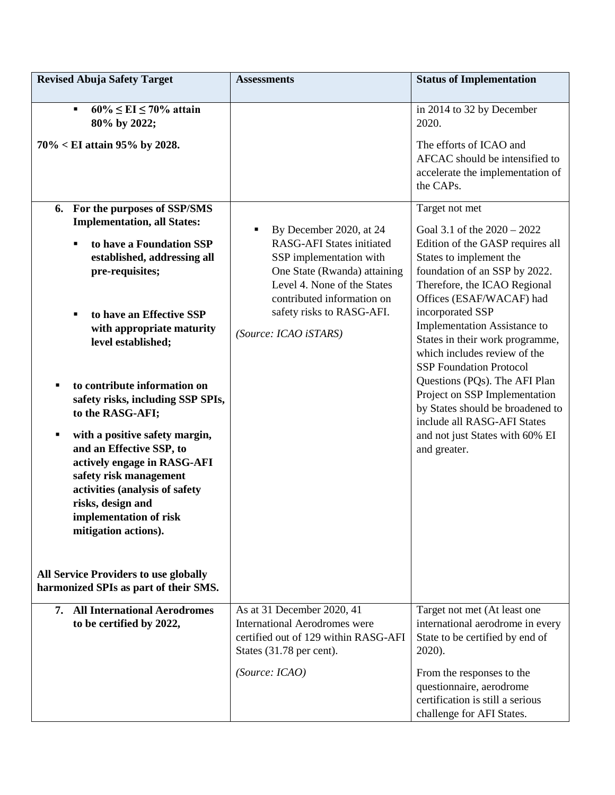| <b>Revised Abuja Safety Target</b>                                                                                                                                                                                                                                                                                                                                                                                                                                                                                                                                                                                                                                                   | <b>Assessments</b>                                                                                                                                                                                                                             | <b>Status of Implementation</b>                                                                                                                                                                                                                                                                                                                                                                                                                                                                                                                              |
|--------------------------------------------------------------------------------------------------------------------------------------------------------------------------------------------------------------------------------------------------------------------------------------------------------------------------------------------------------------------------------------------------------------------------------------------------------------------------------------------------------------------------------------------------------------------------------------------------------------------------------------------------------------------------------------|------------------------------------------------------------------------------------------------------------------------------------------------------------------------------------------------------------------------------------------------|--------------------------------------------------------------------------------------------------------------------------------------------------------------------------------------------------------------------------------------------------------------------------------------------------------------------------------------------------------------------------------------------------------------------------------------------------------------------------------------------------------------------------------------------------------------|
| $60\% \leq \text{EI} \leq 70\%$ attain<br>٠<br>80% by 2022;<br>$70\% < E1$ attain 95% by 2028.                                                                                                                                                                                                                                                                                                                                                                                                                                                                                                                                                                                       |                                                                                                                                                                                                                                                | in 2014 to 32 by December<br>2020.<br>The efforts of ICAO and<br>AFCAC should be intensified to<br>accelerate the implementation of<br>the CAPs.                                                                                                                                                                                                                                                                                                                                                                                                             |
| 6. For the purposes of SSP/SMS<br><b>Implementation, all States:</b><br>to have a Foundation SSP<br>$\blacksquare$<br>established, addressing all<br>pre-requisites;<br>to have an Effective SSP<br>٠<br>with appropriate maturity<br>level established;<br>to contribute information on<br>٠<br>safety risks, including SSP SPIs,<br>to the RASG-AFI;<br>with a positive safety margin,<br>٠<br>and an Effective SSP, to<br>actively engage in RASG-AFI<br>safety risk management<br>activities (analysis of safety<br>risks, design and<br>implementation of risk<br>mitigation actions).<br><b>All Service Providers to use globally</b><br>harmonized SPIs as part of their SMS. | By December 2020, at 24<br>٠<br><b>RASG-AFI States initiated</b><br>SSP implementation with<br>One State (Rwanda) attaining<br>Level 4. None of the States<br>contributed information on<br>safety risks to RASG-AFI.<br>(Source: ICAO iSTARS) | Target not met<br>Goal 3.1 of the $2020 - 2022$<br>Edition of the GASP requires all<br>States to implement the<br>foundation of an SSP by 2022.<br>Therefore, the ICAO Regional<br>Offices (ESAF/WACAF) had<br>incorporated SSP<br>Implementation Assistance to<br>States in their work programme,<br>which includes review of the<br><b>SSP Foundation Protocol</b><br>Questions (PQs). The AFI Plan<br>Project on SSP Implementation<br>by States should be broadened to<br>include all RASG-AFI States<br>and not just States with 60% EI<br>and greater. |
| 7. All International Aerodromes<br>to be certified by 2022,                                                                                                                                                                                                                                                                                                                                                                                                                                                                                                                                                                                                                          | As at 31 December 2020, 41<br><b>International Aerodromes were</b><br>certified out of 129 within RASG-AFI<br>States (31.78 per cent).<br>(Source: ICAO)                                                                                       | Target not met (At least one<br>international aerodrome in every<br>State to be certified by end of<br>$2020$ ).<br>From the responses to the<br>questionnaire, aerodrome<br>certification is still a serious<br>challenge for AFI States.                                                                                                                                                                                                                                                                                                                   |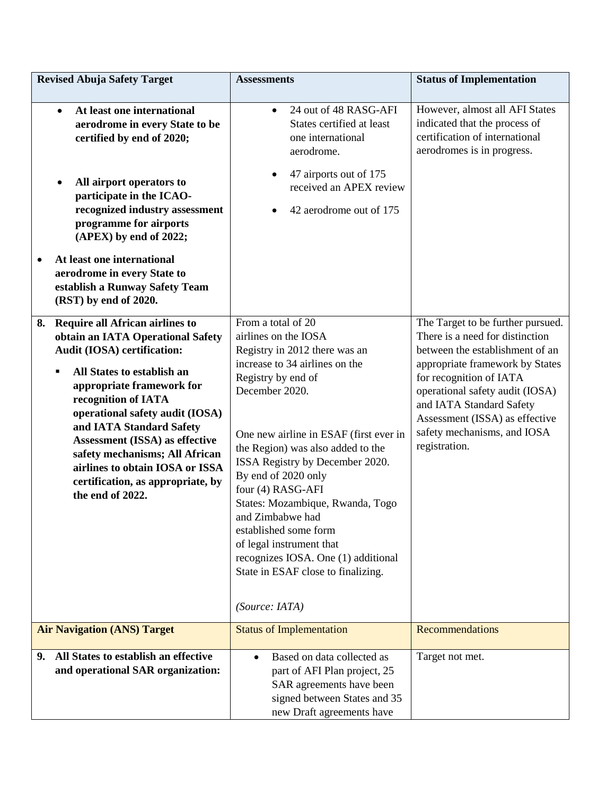| <b>Revised Abuja Safety Target</b>                                                                                                                                                                                                                                                                                                                                                                                                | <b>Assessments</b>                                                                                                                                                                                                                                                                                                                                                                                                                                                                                                              | <b>Status of Implementation</b>                                                                                                                                                                                                                                                                                        |
|-----------------------------------------------------------------------------------------------------------------------------------------------------------------------------------------------------------------------------------------------------------------------------------------------------------------------------------------------------------------------------------------------------------------------------------|---------------------------------------------------------------------------------------------------------------------------------------------------------------------------------------------------------------------------------------------------------------------------------------------------------------------------------------------------------------------------------------------------------------------------------------------------------------------------------------------------------------------------------|------------------------------------------------------------------------------------------------------------------------------------------------------------------------------------------------------------------------------------------------------------------------------------------------------------------------|
| At least one international<br>$\bullet$<br>aerodrome in every State to be<br>certified by end of 2020;<br>All airport operators to<br>participate in the ICAO-<br>recognized industry assessment<br>programme for airports<br>(APEX) by end of 2022;<br>At least one international<br>aerodrome in every State to<br>establish a Runway Safety Team<br>(RST) by end of 2020.                                                      | 24 out of 48 RASG-AFI<br>$\bullet$<br>States certified at least<br>one international<br>aerodrome.<br>47 airports out of 175<br>received an APEX review<br>42 aerodrome out of 175                                                                                                                                                                                                                                                                                                                                              | However, almost all AFI States<br>indicated that the process of<br>certification of international<br>aerodromes is in progress.                                                                                                                                                                                        |
| <b>Require all African airlines to</b><br>8.<br>obtain an IATA Operational Safety<br>Audit (IOSA) certification:<br>All States to establish an<br>appropriate framework for<br>recognition of IATA<br>operational safety audit (IOSA)<br>and IATA Standard Safety<br>Assessment (ISSA) as effective<br>safety mechanisms; All African<br>airlines to obtain IOSA or ISSA<br>certification, as appropriate, by<br>the end of 2022. | From a total of 20<br>airlines on the IOSA<br>Registry in 2012 there was an<br>increase to 34 airlines on the<br>Registry by end of<br>December 2020.<br>One new airline in ESAF (first ever in<br>the Region) was also added to the<br>ISSA Registry by December 2020.<br>By end of 2020 only<br>four (4) RASG-AFI<br>States: Mozambique, Rwanda, Togo<br>and Zimbabwe had<br>established some form<br>of legal instrument that<br>recognizes IOSA. One (1) additional<br>State in ESAF close to finalizing.<br>(Source: IATA) | The Target to be further pursued.<br>There is a need for distinction<br>between the establishment of an<br>appropriate framework by States<br>for recognition of IATA<br>operational safety audit (IOSA)<br>and IATA Standard Safety<br>Assessment (ISSA) as effective<br>safety mechanisms, and IOSA<br>registration. |
| <b>Air Navigation (ANS) Target</b>                                                                                                                                                                                                                                                                                                                                                                                                | <b>Status of Implementation</b>                                                                                                                                                                                                                                                                                                                                                                                                                                                                                                 | <b>Recommendations</b>                                                                                                                                                                                                                                                                                                 |
| All States to establish an effective<br>9.<br>and operational SAR organization:                                                                                                                                                                                                                                                                                                                                                   | Based on data collected as<br>$\bullet$<br>part of AFI Plan project, 25<br>SAR agreements have been<br>signed between States and 35<br>new Draft agreements have                                                                                                                                                                                                                                                                                                                                                                | Target not met.                                                                                                                                                                                                                                                                                                        |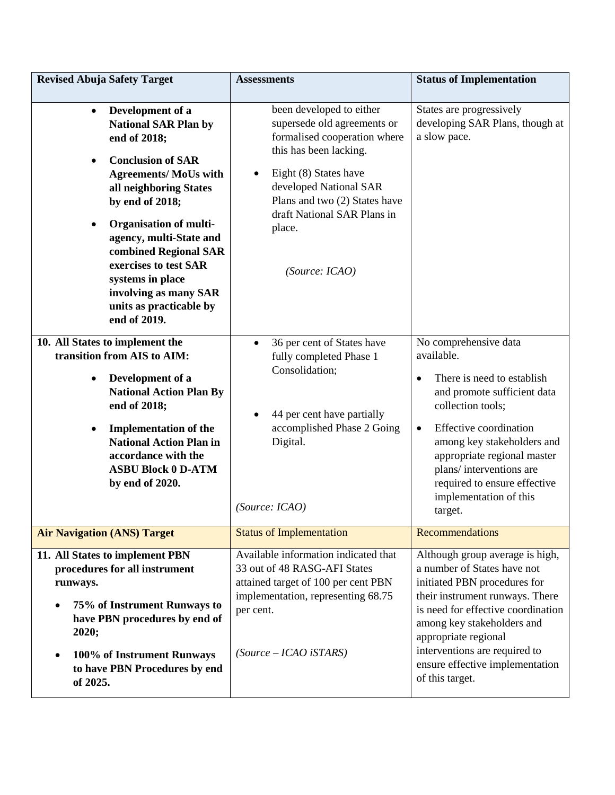| <b>Revised Abuja Safety Target</b>                                                                                                                                                                                                                                                                                                                                                          | <b>Assessments</b>                                                                                                                                                                                                                                               | <b>Status of Implementation</b>                                                                                                                                                                                                                                                                                                        |
|---------------------------------------------------------------------------------------------------------------------------------------------------------------------------------------------------------------------------------------------------------------------------------------------------------------------------------------------------------------------------------------------|------------------------------------------------------------------------------------------------------------------------------------------------------------------------------------------------------------------------------------------------------------------|----------------------------------------------------------------------------------------------------------------------------------------------------------------------------------------------------------------------------------------------------------------------------------------------------------------------------------------|
| Development of a<br>$\bullet$<br><b>National SAR Plan by</b><br>end of 2018;<br><b>Conclusion of SAR</b><br><b>Agreements/ MoUs with</b><br>all neighboring States<br>by end of 2018;<br><b>Organisation of multi-</b><br>agency, multi-State and<br>combined Regional SAR<br>exercises to test SAR<br>systems in place<br>involving as many SAR<br>units as practicable by<br>end of 2019. | been developed to either<br>supersede old agreements or<br>formalised cooperation where<br>this has been lacking.<br>Eight (8) States have<br>developed National SAR<br>Plans and two (2) States have<br>draft National SAR Plans in<br>place.<br>(Source: ICAO) | States are progressively<br>developing SAR Plans, though at<br>a slow pace.                                                                                                                                                                                                                                                            |
| 10. All States to implement the<br>transition from AIS to AIM:<br>Development of a<br>$\bullet$<br><b>National Action Plan By</b><br>end of 2018;<br><b>Implementation of the</b><br><b>National Action Plan in</b><br>accordance with the<br><b>ASBU Block 0 D-ATM</b><br>by end of 2020.                                                                                                  | 36 per cent of States have<br>fully completed Phase 1<br>Consolidation;<br>44 per cent have partially<br>accomplished Phase 2 Going<br>Digital.<br>(Source: ICAO)                                                                                                | No comprehensive data<br>available.<br>There is need to establish<br>$\bullet$<br>and promote sufficient data<br>collection tools;<br>Effective coordination<br>$\bullet$<br>among key stakeholders and<br>appropriate regional master<br>plans/interventions are<br>required to ensure effective<br>implementation of this<br>target. |
| <b>Air Navigation (ANS) Target</b>                                                                                                                                                                                                                                                                                                                                                          | <b>Status of Implementation</b>                                                                                                                                                                                                                                  | Recommendations                                                                                                                                                                                                                                                                                                                        |
| 11. All States to implement PBN<br>procedures for all instrument<br>runways.<br>75% of Instrument Runways to<br>have PBN procedures by end of<br>2020;<br>100% of Instrument Runways<br>to have PBN Procedures by end<br>of 2025.                                                                                                                                                           | Available information indicated that<br>33 out of 48 RASG-AFI States<br>attained target of 100 per cent PBN<br>implementation, representing 68.75<br>per cent.<br>$(Source - ICAO iSTARS)$                                                                       | Although group average is high,<br>a number of States have not<br>initiated PBN procedures for<br>their instrument runways. There<br>is need for effective coordination<br>among key stakeholders and<br>appropriate regional<br>interventions are required to<br>ensure effective implementation<br>of this target.                   |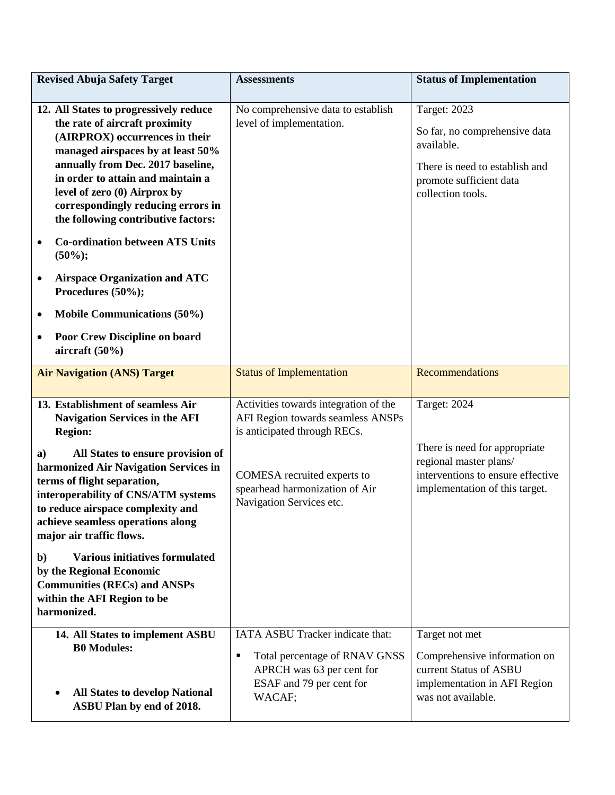| <b>Assessments</b>                                                                                                                                                                                      | <b>Status of Implementation</b>                                                                                                                      |
|---------------------------------------------------------------------------------------------------------------------------------------------------------------------------------------------------------|------------------------------------------------------------------------------------------------------------------------------------------------------|
| No comprehensive data to establish<br>level of implementation.                                                                                                                                          | <b>Target: 2023</b><br>So far, no comprehensive data<br>available.<br>There is need to establish and<br>promote sufficient data<br>collection tools. |
| <b>Status of Implementation</b>                                                                                                                                                                         | Recommendations                                                                                                                                      |
| Activities towards integration of the<br>AFI Region towards seamless ANSPs<br>is anticipated through RECs.<br>COMESA recruited experts to<br>spearhead harmonization of Air<br>Navigation Services etc. | Target: 2024<br>There is need for appropriate<br>regional master plans/<br>interventions to ensure effective<br>implementation of this target.       |
| IATA ASBU Tracker indicate that:<br>Total percentage of RNAV GNSS<br>٠<br>APRCH was 63 per cent for<br>ESAF and 79 per cent for<br>WACAF;                                                               | Target not met<br>Comprehensive information on<br>current Status of ASBU<br>implementation in AFI Region<br>was not available.                       |
|                                                                                                                                                                                                         |                                                                                                                                                      |